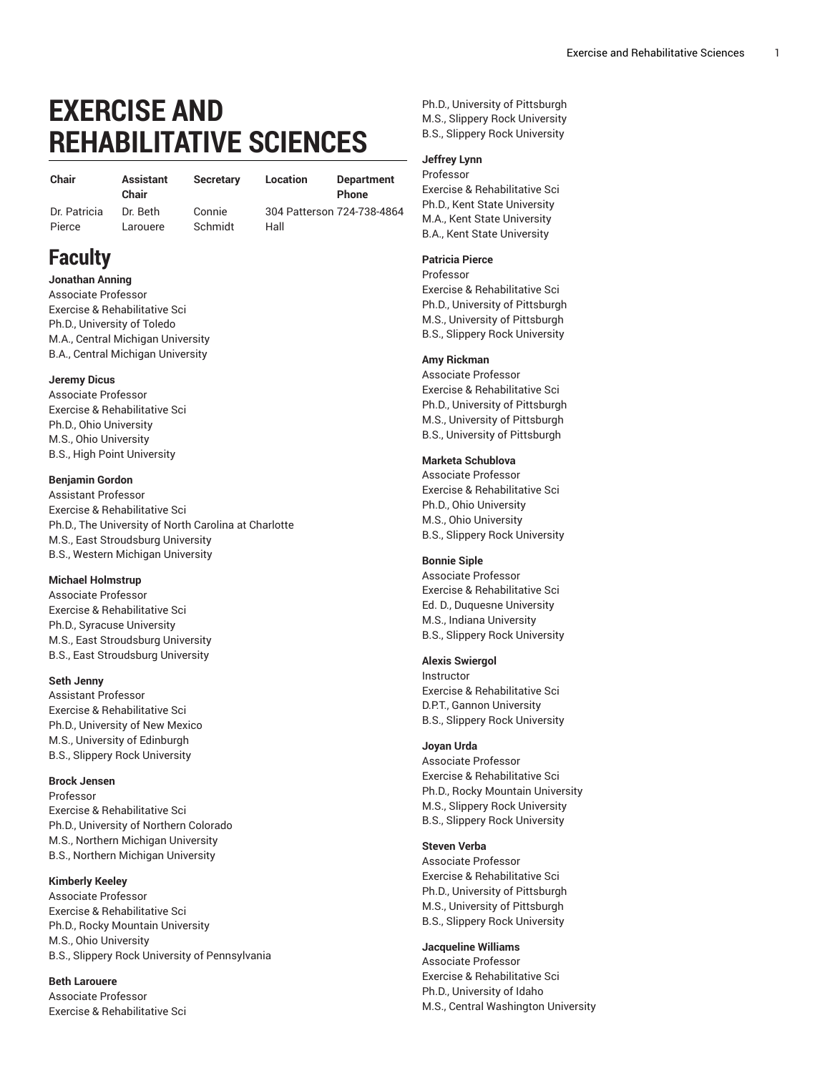# **EXERCISE AND REHABILITATIVE SCIENCES**

**Chair Assistant** Dr. [Patricia](mailto:patricia.pierce@sru.edu)

**Chair** Dr. [Beth](mailto:beth.larouere@sru.edu) [Larouere](mailto:beth.larouere@sru.edu)

**Secretary Location Department** [Connie](mailto:connie.schmidt@sru.edu)

[Schmidt](mailto:connie.schmidt@sru.edu)

**Phone** 304 Patterson [724-738-4864](tel:+1-724-738-4864) Hall

Ph.D., University of Pittsburgh M.S., Slippery Rock University B.S., Slippery Rock University

## **Jeffrey Lynn**

Professor Exercise & Rehabilitative Sci Ph.D., Kent State University M.A., Kent State University B.A., Kent State University

#### **Patricia Pierce**

Professor Exercise & Rehabilitative Sci Ph.D., University of Pittsburgh M.S., University of Pittsburgh B.S., Slippery Rock University

#### **Amy Rickman**

Associate Professor Exercise & Rehabilitative Sci Ph.D., University of Pittsburgh M.S., University of Pittsburgh B.S., University of Pittsburgh

#### **Marketa Schublova**

Associate Professor Exercise & Rehabilitative Sci Ph.D., Ohio University M.S., Ohio University B.S., Slippery Rock University

#### **Bonnie Siple**

Associate Professor Exercise & Rehabilitative Sci Ed. D., Duquesne University M.S., Indiana University B.S., Slippery Rock University

#### **Alexis Swiergol**

Instructor Exercise & Rehabilitative Sci D.P.T., Gannon University B.S., Slippery Rock University

#### **Joyan Urda**

Associate Professor Exercise & Rehabilitative Sci Ph.D., Rocky Mountain University M.S., Slippery Rock University B.S., Slippery Rock University

#### **Steven Verba**

Associate Professor Exercise & Rehabilitative Sci Ph.D., University of Pittsburgh M.S., University of Pittsburgh B.S., Slippery Rock University

#### **Jacqueline Williams**

Associate Professor Exercise & Rehabilitative Sci Ph.D., University of Idaho M.S., Central Washington University

**Faculty Jonathan Anning**

[Pierce](mailto:patricia.pierce@sru.edu)

Associate Professor Exercise & Rehabilitative Sci Ph.D., University of Toledo M.A., Central Michigan University B.A., Central Michigan University

## **Jeremy Dicus**

Associate Professor Exercise & Rehabilitative Sci Ph.D., Ohio University M.S., Ohio University B.S., High Point University

#### **Benjamin Gordon**

Assistant Professor Exercise & Rehabilitative Sci Ph.D., The University of North Carolina at Charlotte M.S., East Stroudsburg University B.S., Western Michigan University

### **Michael Holmstrup**

Associate Professor Exercise & Rehabilitative Sci Ph.D., Syracuse University M.S., East Stroudsburg University B.S., East Stroudsburg University

#### **Seth Jenny**

Assistant Professor Exercise & Rehabilitative Sci Ph.D., University of New Mexico M.S., University of Edinburgh B.S., Slippery Rock University

#### **Brock Jensen**

Professor Exercise & Rehabilitative Sci Ph.D., University of Northern Colorado M.S., Northern Michigan University B.S., Northern Michigan University

#### **Kimberly Keeley**

Associate Professor Exercise & Rehabilitative Sci Ph.D., Rocky Mountain University M.S., Ohio University B.S., Slippery Rock University of Pennsylvania

# **Beth Larouere**

Associate Professor Exercise & Rehabilitative Sci